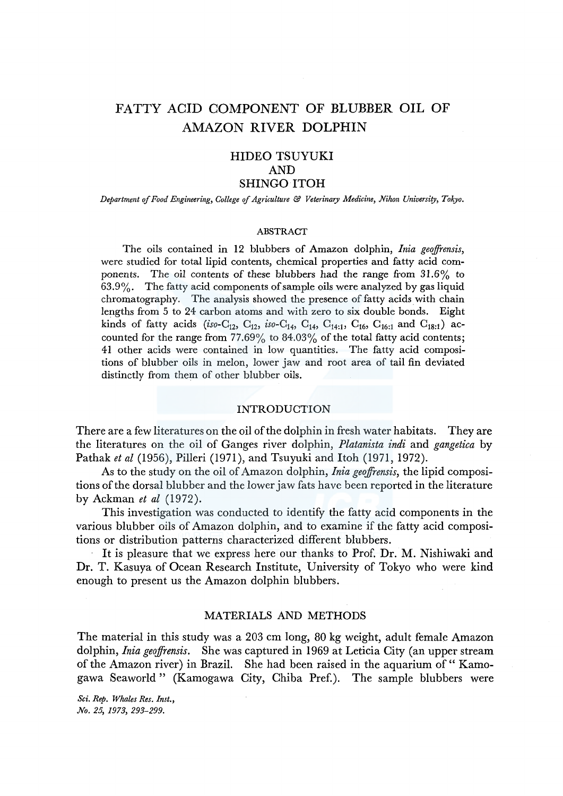# FATTY ACID COMPONENT OF BLUBBER OIL OF AMAZON RIVER DOLPHIN

# HIDEO TSUYUKI AND SHINGO ITOH

*Department of Food Engineering, College* ef *Agriculture* & *Veterinary Medicine, Nihon University, Tokyo.* 

#### ABSTRACT

The oils contained in 12 blubbers of Amazon dolphin, *Inia geojfrensis,*  were studied for total lipid contents, chemical properties and fatty acid components. The oil contents of these blubbers had the range from 31.6% to 63.9%. The fatty acid components of sample oils were analyzed by gas liquid chromatography. The analysis showed the presence of fatty acids with chain lengths from 5 to 24 carbon atoms and with zero to six double bonds. Eight kinds of fatty acids (iso-C<sub>12</sub>, C<sub>12</sub>, iso-C<sub>14</sub>, C<sub>14</sub>, C<sub>14;1</sub>, C<sub>16</sub>, C<sub>16:1</sub> and C<sub>18:1</sub>) accounted for the range from  $77.69\%$  to  $84.03\%$  of the total fatty acid contents; 41 other acids were contained in low quantities. The fatty acid compositions of blubber oils in melon, lower jaw and root area of tail fin deviated distinctly from them of other blubber oils.

#### INTRODUCTION

There are a few literatures on the oil of the dolphin in fresh water habitats. They are the literatures on the oil of Ganges river dolphin, *Platanista indi* and *gangetica* by Pathak *et al* (1956), Pilleri (1971), and Tsuyuki and Itoh (1971, 1972).

As to the study on the oil of Amazon dolphin, *Inia geoffrensis*, the lipid compositions of the dorsal blubber and the lower jaw fats have been reported in the literature by Ackman *et al* (1972).

This investigation was conducted to identify the fatty acid components in the various blubber oils of Amazon dolphin, and to examine if the fatty acid compositions or distribution patterns characterized different blubbers.

It is pleasure that we express here our thanks to Prof. Dr. M. Nishiwaki and Dr. T. Kasuya of Ocean Research Institute, University of Tokyo who were kind enough to present us the Amazon dolphin blubbers.

# MATERIALS AND METHODS

The material in this study was a 203 cm long, 80 kg weight, adult female Amazon dolphin, *Inia geojfrensis.* She was captured in 1969 at Leticia City (an upper stream of the Amazon river) in Brazil. She had been raised in the aquarium of " Kamogawa Seaworld" (Kamogawa City, Chiba Pref.). The sample blubbers were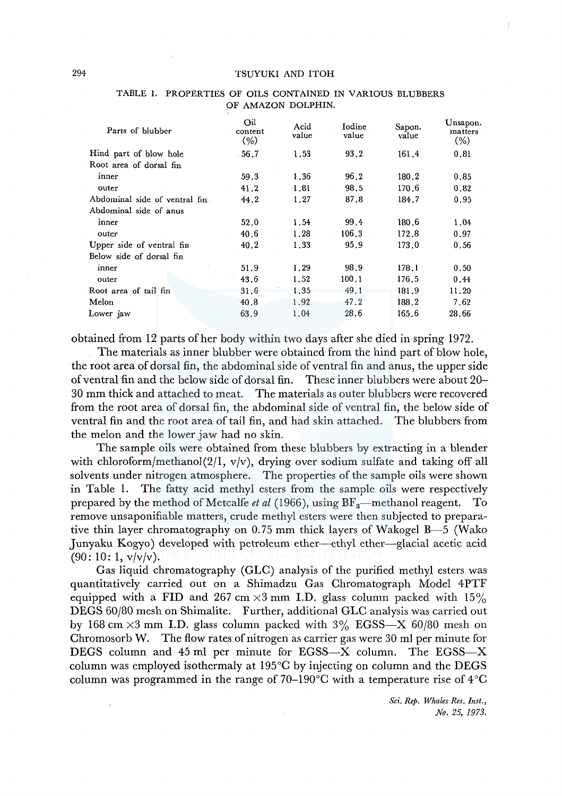| Parts of blubber              | Oil<br>content<br>$(\% )$ | Acid<br>value | Iodine<br>value | Sapon.<br>value | Unsapon.<br>matters<br>(% ) |
|-------------------------------|---------------------------|---------------|-----------------|-----------------|-----------------------------|
| Hind part of blow hole        | $-56.7$                   | 1.53          | 93,2            | 161.4           | 0.81                        |
| Root area of dorsal fin       |                           |               |                 |                 |                             |
| inner                         | 59.3                      | 1.36          | 96.2            | 180.2           | 0.85                        |
| outer                         | 41.2                      | 1.81          | 98.5            | 170.6           | 0.82                        |
| Abdominal side of ventral fin | 44.2                      | 1.27          | 87.8            | 184.7           | 0.95                        |
| Abdominal side of anus        |                           |               |                 |                 |                             |
| inner                         | 52.0                      | 1.54          | 99.4            | 180.6           | 1.04                        |
| outer                         | 40.6                      | 1.28          | 106.3           | 172.8           | 0.97                        |
| Upper side of ventral fin     | 40.2                      | 1.33          | 95.9            | 173.0           | 0.56                        |
| Below side of dorsal fin      |                           |               |                 |                 |                             |
| inner                         | 51.9                      | 1.29          | 98.9            | 178.1           | 0.50                        |
| outer                         | 43.6                      | 1.52          | 100.1           | 176.5           | 0.44                        |
| Root area of tail fin         | 31.6                      | 1.35          | 49.1            | 181.9           | 11.20                       |
| Melon                         | 40.8                      | 1.92          | 47.2            | 188.2           | 7.62                        |
| Lower jaw                     | 63.9                      | 1.04          | 28.6            | 165.6           | 28.66                       |

## TABLE 1. PROPERTIES OF OILS CONTAINED IN VARIOUS BLUBBERS OF AMAZON DOLPHIN.

obtained from 12 parts of her body within two days after she died in spring 1972.

The materials as inner blubber were obtained from the hind part of blow hole, the root area of dorsal fin, the abdominal side of ventral fin and anus, the upper side of ventral fin and the below side of dorsal fin. These inner blubbers were about 20- 30 mm thick and attached to meat. The materials as outer blubbers were recovered from the root area of dorsal fin, the abdominal side of ventral fin, the below side of ventral fin and the root area of tail fin, and had skin attached. The blubbers from the melon and the lower jaw had no skin.

The sample oils were obtained from these blubbers by extracting in a blender with chloroform/methanol(2/1, v/v), drying over sodium sulfate and taking off all solvents under nitrogen atmosphere. The properties of the sample oils were shown in Table 1. The fatty acid methyl esters from the sample oils were respectively prepared by the method of Metcalfe *et al* (1966), using BF<sub>3</sub>—methanol reagent. To remove unsaponifiable matters, crude methyl esters were then subjected to preparative thin layer chromatography on 0.75 mm thick layers of Wakogel B-5 (Wako Junyaku Kogyo) developed with petroleum ether-ethyl ether-glacial acetic acid  $(90:10:1, v/v/v)$ .

Gas liquid chromatography (GLC) analysis of the purified methyl esters was quantitatively carried out on a Shimadzu Gas Chromatograph Model 4PTF equipped with a FID and 267 cm  $\times$ 3 mm I.D. glass column packed with 15% DEGS 60/80 mesh on Shimalite. Further, additional GLC analysis was carried out by 168 cm  $\times$ 3 mm I.D. glass column packed with 3% EGSS—X 60/80 mesh on Chromosorb W. The flow rates of nitrogen as carrier gas were 30 ml per minute for DEGS column and 45 ml per minute for EGSS-X column. The EGSS-X column was employed isothermaly at 195°C by injecting on column and the DEGS column was programmed in the range of 70–190 $\degree$ C with a temperature rise of 4 $\degree$ C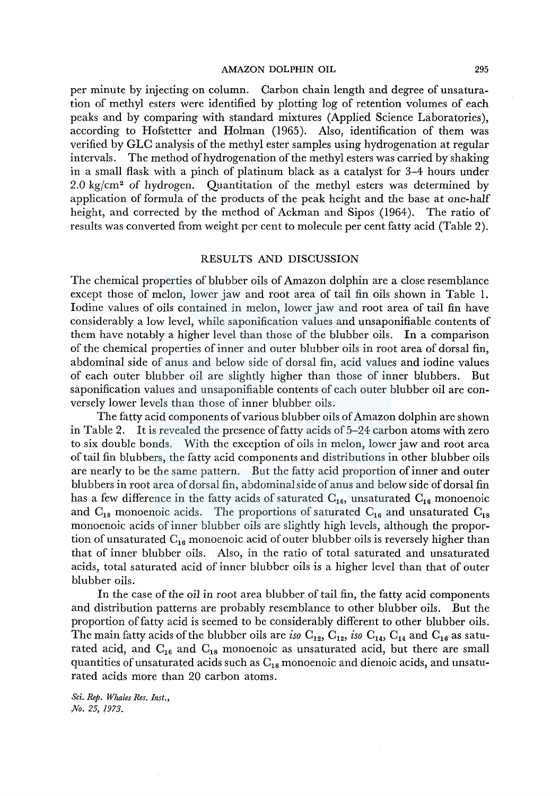# AMAZON DOLPHIN OIL 295

per minute by injecting on column. Carbon chain length and degree of unsaturation of methyl esters were identified by plotting log of retention volumes of each peaks and by comparing with standard mixtures (Applied Science Laboratories), according to Hofstetter and Holman (1965). Also, identification of them was verified by GLC analysis of the methyl ester samples using hydrogenation at regular intervals. The method of hydrogenation of the methyl esters was carried by shaking in a small flask with a pinch of platinum black as a catalyst for 3-4 hours under  $2.0 \text{ kg/cm}^2$  of hydrogen. Quantitation of the methyl esters was determined by application of formula of the products of the peak height and the base at one-half height, and corrected by the method of Ackman and Sipos (1964). The ratio of results was converted from weight per cent to molecule per cent fatty acid (Table 2).

# RESULTS AND DISCUSSION

The chemical properties of blubber oils of Amazon dolphin are a close resemblance except those of melon, lower jaw and root area of tail fin oils shown in Table 1. Iodine values of oils contained in melon, lower jaw and root area of tail fin have considerably a low level, while saponification values and unsaponifiable contents of them have notably a higher level than those of the blubber oils. In a comparison of the chemical properties of inner and outer blubber oils in root area of dorsal fin, abdominal side of anus and below side of dorsal fin, acid values and iodine values of each outer blubber oil are slightly higher than those of inner blubbers. But saponification values and unsaponifiable contents of each outer blubber oil are conversely lower levels than those of inner blubber oils.

The fatty acid components of various blubber oils of Amazon dolphin are shown in Table 2. It is revealed the presence of fatty acids of 5-24 carbon atoms with zero to six double bonds. With the exception of oils in melon, lower jaw and root area of tail fin blubbers, the fatty acid components and distributions in other blubber oils are nearly to be the same pattern. But the fatty acid proportion of inner and outer blubbers in root area of dorsal fin, abdominal side of anus and below side of dorsal fin has a few difference in the fatty acids of saturated  $C_{16}$ , unsaturated  $C_{16}$  monoenoic and  $C_{18}$  monoenoic acids. The proportions of saturated  $C_{16}$  and unsaturated  $C_{18}$ monoenoic acids of inner blubber oils are slightly high levels, although the proportion of unsaturated  $C_{16}$  monoenoic acid of outer blubber oils is reversely higher than that of inner blubber oils. Also, in the ratio of total saturated and unsaturated acids, total saturated acid of inner blubber oils is a higher level than that of outer blubber oils.

In the case of the oil in root area blubber of tail fin, the fatty acid components and distribution patterns are probably resemblance to other blubber oils. But the proportion of fatty acid is seemed to be considerably different to other blubber oils. The main fatty acids of the blubber oils are *iso*  $C_{12}$ ,  $C_{12}$ , *iso*  $C_{14}$ ,  $C_{14}$  and  $C_{16}$  as saturated acid, and  $C_{16}$  and  $C_{18}$  monoenoic as unsaturated acid, but there are small quantities of unsaturated acids such as  $C_{18}$  monoenoic and dienoic acids, and unsaturated acids more than 20 carbon atoms.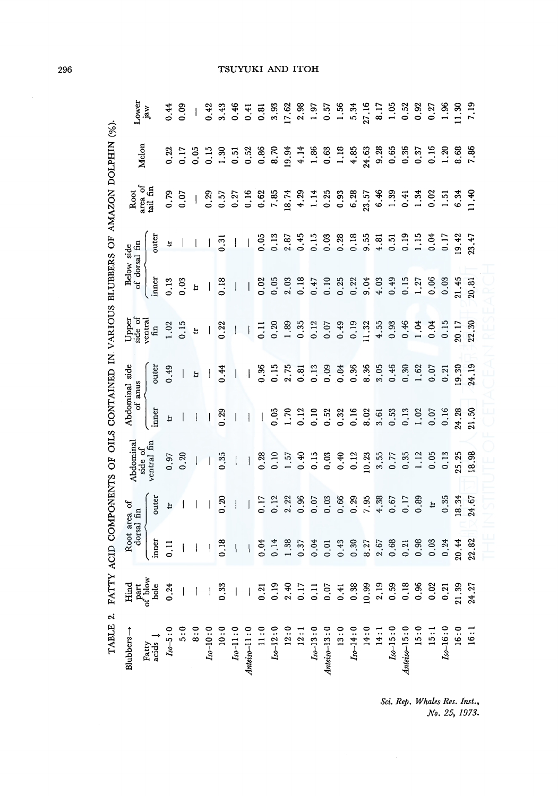| TARLE ? FATTY ACID COMPONENCE OF OILS CONTAINED IN VARIOUS RETIRERS OF AMAZON DOIN 6/1<br>where the contribution of the contribution of the contribution of the contribution of the contribution of the contribution of the contribution of the contribution of the contribution of the contribution of the contribution |
|--------------------------------------------------------------------------------------------------------------------------------------------------------------------------------------------------------------------------------------------------------------------------------------------------------------------------|
|                                                                                                                                                                                                                                                                                                                          |
|                                                                                                                                                                                                                                                                                                                          |
|                                                                                                                                                                                                                                                                                                                          |
|                                                                                                                                                                                                                                                                                                                          |
|                                                                                                                                                                                                                                                                                                                          |
|                                                                                                                                                                                                                                                                                                                          |
|                                                                                                                                                                                                                                                                                                                          |
|                                                                                                                                                                                                                                                                                                                          |
|                                                                                                                                                                                                                                                                                                                          |
|                                                                                                                                                                                                                                                                                                                          |

| Lower                                                                                                | jaw            | 0.44            | 0.09 |                          | 0.42                      | 3.43             | 0.46                     | 0.41                     | 0,81         | 3.93            | 17.62 | 2.98                                                                                                                                                 |      | $1.97$<br>0.57   | 1.56                                     | $\frac{5.34}{27.16}$ |       | 8.17 |      |                                    |      | $1.52$<br>0.52<br>0.92<br>0.27                                               | 1,96                          | $1.30$<br>$7.19$ |
|------------------------------------------------------------------------------------------------------|----------------|-----------------|------|--------------------------|---------------------------|------------------|--------------------------|--------------------------|--------------|-----------------|-------|------------------------------------------------------------------------------------------------------------------------------------------------------|------|------------------|------------------------------------------|----------------------|-------|------|------|------------------------------------|------|------------------------------------------------------------------------------|-------------------------------|------------------|
| Melon                                                                                                |                | 0.22            | 0.17 | 0.05                     | 0.15                      | 1.30             | $\overline{0}.51$        | 0.52                     | 0.86         | 8.70            | 19.94 | 4.14                                                                                                                                                 | 1.86 | 0.63             | 1.18                                     | $4.85$<br>24.63      |       | 9.28 | 0.65 | 0.36                               | 0.37 | 0.16                                                                         | 1.20                          | 8.68             |
| Root                                                                                                 | area of $\tan$ | 0.79            | 0.07 | $\overline{\phantom{a}}$ | 0.29                      | 0.57             | 0.27                     | 0.16                     | 0.62         | 7,85            | 18.74 | 4.29                                                                                                                                                 | 1.14 | 0.25             | 0.93                                     | $6.28$<br>$23.57$    |       | 6.46 | 1.39 | 0.41                               | 1.34 | 0.02                                                                         | $\frac{5}{1}$                 | 6.34             |
|                                                                                                      | outer          | Ħ               |      |                          |                           | $\overline{0}.3$ | $\overline{\phantom{a}}$ | J                        | 0.05         | 0.13            | 2.87  | 0.45                                                                                                                                                 | 0.15 | $0.03$<br>$0.28$ |                                          | $0.18$<br>9.55       |       | 4.81 |      |                                    |      | $0.51$<br>$0.15$<br>$0.15$<br>$0.17$<br>$0.14$<br>$0.14$<br>$0.33$<br>$0.33$ |                               |                  |
| Below side<br>of dorsal fin                                                                          | inner          | 0.13            | 0.03 | Þ                        | $\overline{\mathfrak{l}}$ | 0.18             | $\overline{\phantom{a}}$ | $\vert$                  | 0.02         | 0.05            | 2.03  | 0.18                                                                                                                                                 | 0.47 | 0.10             | 0.25                                     | 0.22                 | 9.04  | 4.03 | 0.49 | 0.15                               | 1.27 | 0.06                                                                         | 0.03                          | 21.45            |
| Upper<br>side of                                                                                     | ventra<br>fin  | 1.02            | 0.15 | $\mathbf{H}$             |                           | 0.22             | $\overline{\phantom{a}}$ | $\overline{\phantom{a}}$ | $\Xi$        | 0.20            | 1.89  | 0.35                                                                                                                                                 | 0.12 | 0.07             | 0.49                                     | 0.19                 | 11.32 | 4.55 | 0.93 | 0.46                               | 1.04 | 0.04                                                                         | 0.15                          | 20.17<br>22.30   |
| anus                                                                                                 | outer          | 0.49            |      | ă                        |                           | 0.44             | $\vert$                  | $\cdot$                  | 0.36         | 0.15            | 2.75  | 0.81                                                                                                                                                 | 0.13 |                  | 0.84                                     | $0.36$<br>8.36       |       |      |      |                                    |      | $3.30$<br>$0.30$<br>$1.62$<br>$0.07$                                         | 0.21                          | 0.30             |
| Abdominal side<br>ð                                                                                  | inner          | Ħ               |      | $\overline{\phantom{a}}$ |                           | 0.29             | $\overline{\phantom{a}}$ | $\mathbf{I}$             | $\mathbf{I}$ | 0.05            | 1.70  | 0.12                                                                                                                                                 | 0.10 | 0.52             | 0.32                                     | $0.16$<br>8.02       |       | 3.61 | 0.53 | 0.13                               | 1.02 | 0.07                                                                         | 0.16                          | 24.28            |
| Abdominal<br>side of                                                                                 | ventral fin    | 0.97            | 0.20 |                          |                           | 0.35             | $\mathbf{I}$             | $\overline{\phantom{a}}$ | 0.28         | $\frac{10}{10}$ | 1.57  | 0.40                                                                                                                                                 | 0.15 | 0.03             | 0.40                                     | 0.12                 | 10.23 | 3.55 | 0.77 | 0.35                               | 1.12 | 0.05                                                                         | 0.13                          | 25.25<br>18.98   |
|                                                                                                      | outer          | Ħ               |      |                          |                           | <u>ន</u>         | $\overline{\phantom{a}}$ |                          | 0.17         | 0.12            | 2.22  | 0.96                                                                                                                                                 | 0.07 | 0.03             | 0.66                                     | $0.29$<br>7.95       |       |      |      | $4.38$<br>0.67<br>0.17<br>0.89     |      | $\mathbf{H}$                                                                 | 0.35                          | 18.34            |
| Root area of<br>dorsal fin                                                                           | inner          | $\frac{11}{11}$ |      |                          |                           | 0.18             | $\overline{\phantom{a}}$ | $\vert$                  | 0.04         | 0.14            | 1.38  | 0.37                                                                                                                                                 | 0.04 | 0,01             | 0.43                                     | 0.30                 | 8.27  | 2,67 | 0.68 | 0.21                               | 0.98 | 0.03                                                                         | 0.24                          | 20.44            |
| $\begin{array}{lcl} \text{Hind} \\ \text{part} \\ \text{of blow} \\ \text{hole} \\ 0.24 \end{array}$ |                |                 |      | 1133                     |                           |                  |                          |                          |              |                 |       |                                                                                                                                                      |      |                  |                                          |                      |       |      |      |                                    |      |                                                                              |                               | 21.39            |
| $Blubbers \rightarrow$                                                                               | Fatty<br>acids | $Iso-5:0$       | 5:0  | 8:0                      | $I_{\rm 50-10:0}$         |                  |                          |                          |              |                 |       | 10 : 0<br><i>Ita-</i> 11 : 0<br><i>Italian-</i> 11 : 0<br>11 : 0<br>12 : 0<br>12 : 0<br>12 : 0<br>12 : 0<br><i>Ita-</i> 13 : 0<br><i>Ita-</i> 13 : 0 |      |                  | Anteiso-13:0<br>13:0<br>13:0<br>Iso-14:0 |                      |       | 14:1 |      | $I_{so-15:0}$<br>Antei $_{o-15:0}$ | 15:0 | 15:1                                                                         | $I_{50-16:0}$<br>16:0<br>16:1 |                  |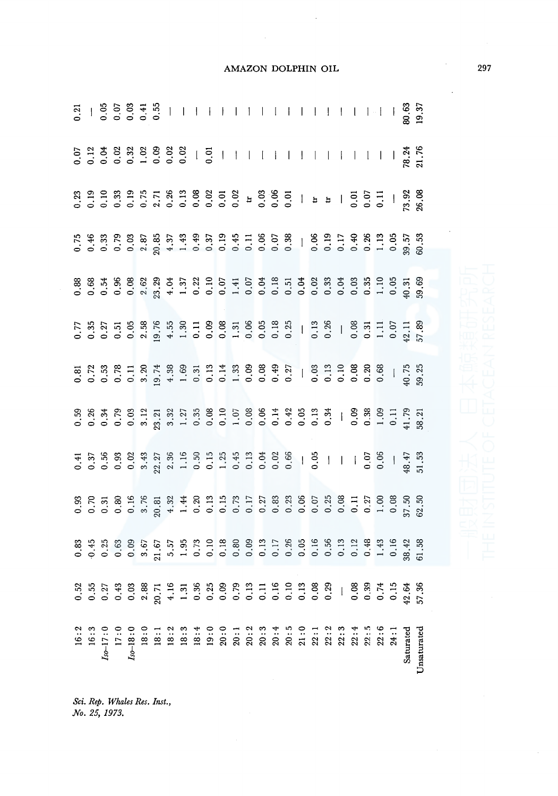|  |                                               |  |  |  |  |  |  |  |  |  |  | $\begin{smallmatrix} 12\\16&17\\18&17\\18&19\\18&10&10\\10&10&10\\10&10&10\\10&10&10\\10&10&10\\10&10&10\\10&10&10\\10&10&10\\10&10&10\\10&10&10\\10&10&10\\10&10&10&10\\10&10&10&10\\10&10&10&10\\10&10&10&10\\10&10&10&10\\10&10&10&10\\10&10&10&10\\10&10&10&$ |  |
|--|-----------------------------------------------|--|--|--|--|--|--|--|--|--|--|-------------------------------------------------------------------------------------------------------------------------------------------------------------------------------------------------------------------------------------------------------------------|--|
|  | Sci. Rep. Whales Res. Inst.,<br>No. 25, 1973. |  |  |  |  |  |  |  |  |  |  |                                                                                                                                                                                                                                                                   |  |

Sci. Rep. Whales Res. Inst.,<br>No. 25, 1973.

AMAZON DOLPHIN OIL

 $\overline{a}$ 

297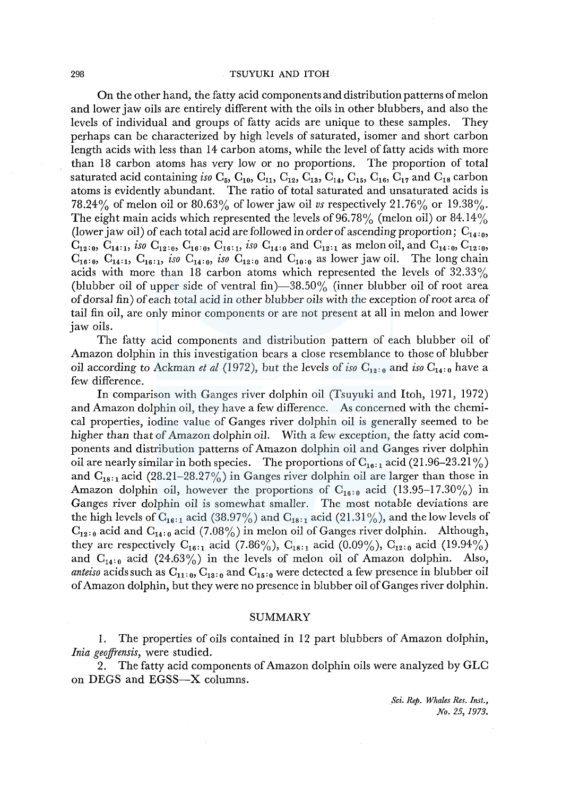#### 298 TSUYUKI AND ITOH

On the other hand, the fatty acid components and distribution patterns of melon and lower jaw oils are entirely different with the oils in other blubbers, and also the levels of individual and groups of fatty acids are unique to these samples. They perhaps can be characterized by high levels of saturated, isomer and short carbon length acids with less than 14 carbon atoms, while the level of fatty acids with more than 18 carbon atoms has very low or no proportions. The proportion of total saturated acid containing *iso*  $C_5$ ,  $C_{10}$ ,  $C_{11}$ ,  $C_{12}$ ,  $C_{13}$ ,  $C_{14}$ ,  $C_{15}$ ,  $C_{16}$ ,  $C_{17}$  and  $C_{18}$  carbon atoms is evidently abundant. The ratio of total saturated and unsaturated acids is 78.24% of melon oil or 80.63% of lower jaw oil vs respectively 21.76% or 19.38%. The eight main acids which represented the levels of  $96.78\%$  (melon oil) or  $84.14\%$ (lower jaw oil) of each total acid are followed in order of ascending proportion;  $C_{14:0}$ ,  $C_{12:0}$ ,  $C_{14:1}$ , *iso*  $C_{12:0}$ ,  $C_{16:0}$ ,  $C_{16:1}$ , *iso*  $C_{14:0}$  and  $C_{12:1}$  as melon oil, and  $C_{14:0}$ ,  $C_{12:0}$ ,  $C_{16:0}$ ,  $C_{14:1}$ ,  $C_{16:1}$ , *iso*  $C_{14:0}$ , *iso*  $C_{12:0}$  and  $C_{10:0}$  as lower jaw oil. The long chain acids with more than 18 carbon atoms which represented the levels of 32.33% (blubber oil of upper side of ventral fin) $-38.50\%$  (inner blubber oil of root area of dorsal fin) of each total acid in other blubber oils with the exception of root area of tail fin oil, are only minor components or are not present at all in melon and lower jaw oils.

The fatty acid components and distribution pattern of each blubber oil of Amazon dolphin in this investigation bears a close resemblance to those of blubber oil according to Ackman *et al* (1972), but the levels of *iso*  $C_{12:0}$  and *iso*  $C_{14:0}$  have a few difference.

In comparison with Ganges river dolphin oil (Tsuyuki and Itoh, 1971, 1972) and Amazon dolphin oil, they have a few difference. As concerned with the chemical properties, iodine value of Ganges river dolphin oil is generally seemed to be higher than that of Amazon dolphin oil. With a few exception, the fatty acid components and distribution patterns of Amazon dolphin oil and Ganges river dolphin oil are nearly similar in both species. The proportions of  $C_{16,1}$  acid (21.96–23.21%) and  $C_{18:1}$  acid (28.21-28.27%) in Ganges river dolphin oil are larger than those in Amazon dolphin oil, however the proportions of  $C_{16,0}$  acid (13.95-17.30%) in Ganges river dolphin oil is somewhat smaller. The most notable deviations are the high levels of  $C_{16:1}$  acid (38.97%) and  $C_{18:1}$  acid (21.31%), and the low levels of  $C_{12:0}$  acid and  $C_{14:0}$  acid (7.08%) in melon oil of Ganges river dolphin. Although, they are respectively  $C_{16:1}$  acid (7.86%),  $C_{18:1}$  acid (0.09%),  $C_{12:0}$  acid (19.94%) and  $C_{14:0}$  acid (24.63%) in the levels of melon oil of Amazon dolphin. Also, *anteiso* acids such as  $C_{11:0}$ ,  $C_{13:0}$  and  $C_{15:0}$  were detected a few presence in blubber oil of Amazon dolphin, but they were no presence in blubber oil of Ganges river dolphin.

## SUMMARY

I. The properties of oils contained in 12 part blubbers of Amazon dolphin, *lnia geojfrensis,* were studied.

2. The fatty acid components of Amazon dolphin oils were analyzed by GLC on DEGS and EGSS-X columns.